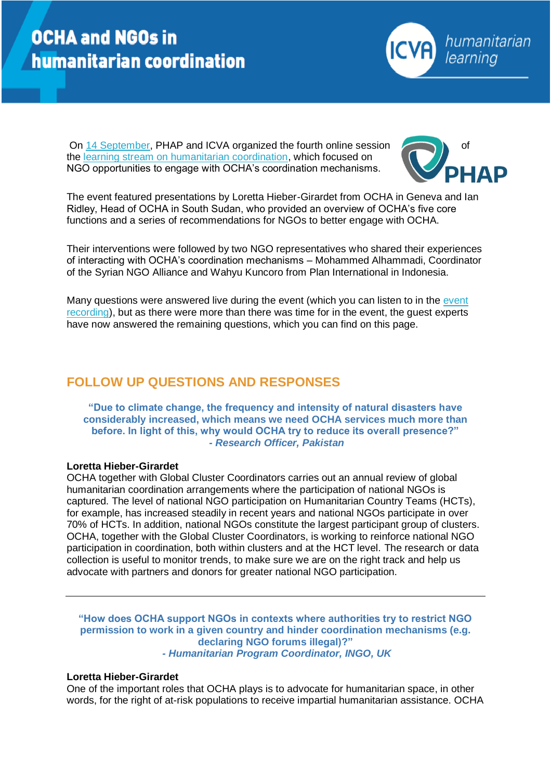

On [14 September,](https://phap.org/14sep2017) PHAP and ICVA organized the fourth online session the [learning stream on humanitarian coordination,](https://phap.org/learning-stream-humanitarian-coordination) which focused on NGO opportunities to engage with OCHA's coordination mechanisms.



The event featured presentations by Loretta Hieber-Girardet from OCHA in Geneva and Ian Ridley, Head of OCHA in South Sudan, who provided an overview of OCHA's five core functions and a series of recommendations for NGOs to better engage with OCHA.

Their interventions were followed by two NGO representatives who shared their experiences of interacting with OCHA's coordination mechanisms – Mohammed Alhammadi, Coordinator of the Syrian NGO Alliance and Wahyu Kuncoro from Plan International in Indonesia.

Many questions were answered live during the event (which you can listen to in the [event](https://phap.org/14sep2017)  [recording\)](https://phap.org/14sep2017), but as there were more than there was time for in the event, the guest experts have now answered the remaining questions, which you can find on this page.

# **FOLLOW UP QUESTIONS AND RESPONSES**

**"Due to climate change, the frequency and intensity of natural disasters have considerably increased, which means we need OCHA services much more than before. In light of this, why would OCHA try to reduce its overall presence?"** *- Research Officer, Pakistan*

# **Loretta Hieber-Girardet**

OCHA together with Global Cluster Coordinators carries out an annual review of global humanitarian coordination arrangements where the participation of national NGOs is captured. The level of national NGO participation on Humanitarian Country Teams (HCTs), for example, has increased steadily in recent years and national NGOs participate in over 70% of HCTs. In addition, national NGOs constitute the largest participant group of clusters. OCHA, together with the Global Cluster Coordinators, is working to reinforce national NGO participation in coordination, both within clusters and at the HCT level. The research or data collection is useful to monitor trends, to make sure we are on the right track and help us advocate with partners and donors for greater national NGO participation.

**"How does OCHA support NGOs in contexts where authorities try to restrict NGO permission to work in a given country and hinder coordination mechanisms (e.g. declaring NGO forums illegal)?"** *- Humanitarian Program Coordinator, INGO, UK*

### **Loretta Hieber-Girardet**

One of the important roles that OCHA plays is to advocate for humanitarian space, in other words, for the right of at-risk populations to receive impartial humanitarian assistance. OCHA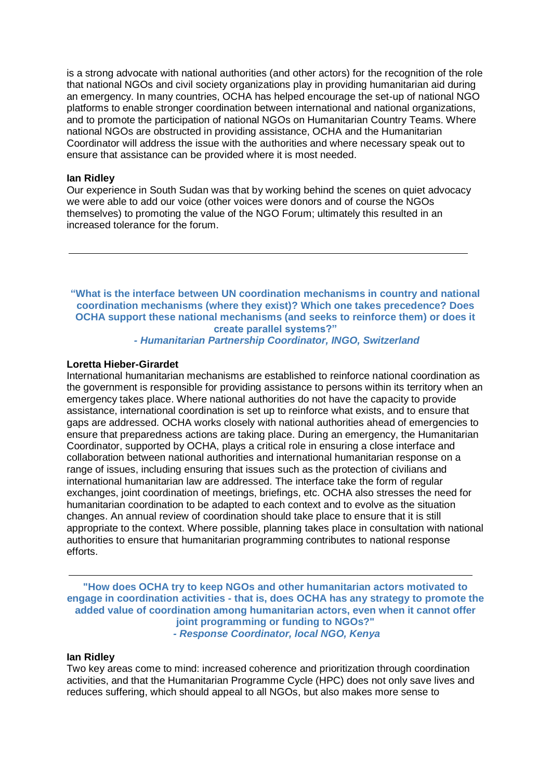is a strong advocate with national authorities (and other actors) for the recognition of the role that national NGOs and civil society organizations play in providing humanitarian aid during an emergency. In many countries, OCHA has helped encourage the set-up of national NGO platforms to enable stronger coordination between international and national organizations, and to promote the participation of national NGOs on Humanitarian Country Teams. Where national NGOs are obstructed in providing assistance, OCHA and the Humanitarian Coordinator will address the issue with the authorities and where necessary speak out to ensure that assistance can be provided where it is most needed.

# **Ian Ridley**

Our experience in South Sudan was that by working behind the scenes on quiet advocacy we were able to add our voice (other voices were donors and of course the NGOs themselves) to promoting the value of the NGO Forum; ultimately this resulted in an increased tolerance for the forum.

**"What is the interface between UN coordination mechanisms in country and national coordination mechanisms (where they exist)? Which one takes precedence? Does OCHA support these national mechanisms (and seeks to reinforce them) or does it create parallel systems?"**

# *- Humanitarian Partnership Coordinator, INGO, Switzerland*

### **Loretta Hieber-Girardet**

International humanitarian mechanisms are established to reinforce national coordination as the government is responsible for providing assistance to persons within its territory when an emergency takes place. Where national authorities do not have the capacity to provide assistance, international coordination is set up to reinforce what exists, and to ensure that gaps are addressed. OCHA works closely with national authorities ahead of emergencies to ensure that preparedness actions are taking place. During an emergency, the Humanitarian Coordinator, supported by OCHA, plays a critical role in ensuring a close interface and collaboration between national authorities and international humanitarian response on a range of issues, including ensuring that issues such as the protection of civilians and international humanitarian law are addressed. The interface take the form of regular exchanges, joint coordination of meetings, briefings, etc. OCHA also stresses the need for humanitarian coordination to be adapted to each context and to evolve as the situation changes. An annual review of coordination should take place to ensure that it is still appropriate to the context. Where possible, planning takes place in consultation with national authorities to ensure that humanitarian programming contributes to national response efforts.

**"How does OCHA try to keep NGOs and other humanitarian actors motivated to engage in coordination activities - that is, does OCHA has any strategy to promote the added value of coordination among humanitarian actors, even when it cannot offer joint programming or funding to NGOs?"** *- Response Coordinator, local NGO, Kenya*

# **Ian Ridley**

Two key areas come to mind: increased coherence and prioritization through coordination activities, and that the Humanitarian Programme Cycle (HPC) does not only save lives and reduces suffering, which should appeal to all NGOs, but also makes more sense to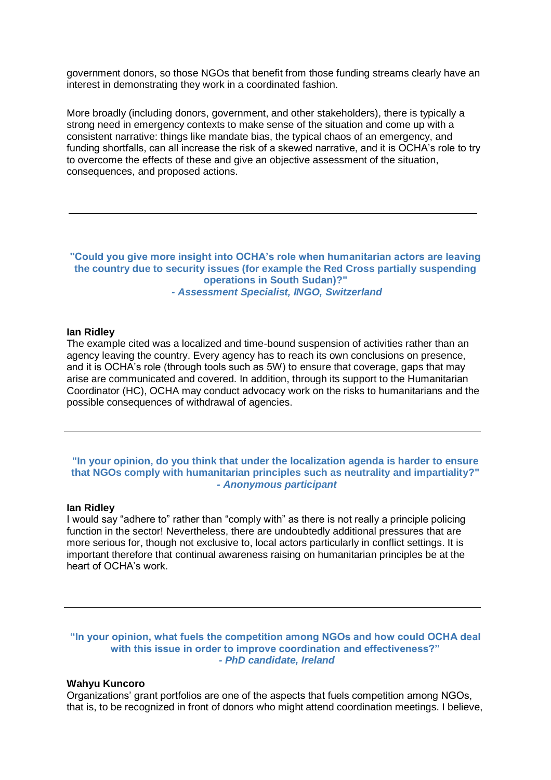government donors, so those NGOs that benefit from those funding streams clearly have an interest in demonstrating they work in a coordinated fashion.

More broadly (including donors, government, and other stakeholders), there is typically a strong need in emergency contexts to make sense of the situation and come up with a consistent narrative: things like mandate bias, the typical chaos of an emergency, and funding shortfalls, can all increase the risk of a skewed narrative, and it is OCHA's role to try to overcome the effects of these and give an objective assessment of the situation, consequences, and proposed actions.

**"Could you give more insight into OCHA's role when humanitarian actors are leaving the country due to security issues (for example the Red Cross partially suspending operations in South Sudan)?"** *- Assessment Specialist, INGO, Switzerland*

#### **Ian Ridley**

The example cited was a localized and time-bound suspension of activities rather than an agency leaving the country. Every agency has to reach its own conclusions on presence, and it is OCHA's role (through tools such as 5W) to ensure that coverage, gaps that may arise are communicated and covered. In addition, through its support to the Humanitarian Coordinator (HC), OCHA may conduct advocacy work on the risks to humanitarians and the possible consequences of withdrawal of agencies.

# **"In your opinion, do you think that under the localization agenda is harder to ensure that NGOs comply with humanitarian principles such as neutrality and impartiality?"** *- Anonymous participant*

# **Ian Ridley**

I would say "adhere to" rather than "comply with" as there is not really a principle policing function in the sector! Nevertheless, there are undoubtedly additional pressures that are more serious for, though not exclusive to, local actors particularly in conflict settings. It is important therefore that continual awareness raising on humanitarian principles be at the heart of OCHA's work.

**"In your opinion, what fuels the competition among NGOs and how could OCHA deal with this issue in order to improve coordination and effectiveness?"** *- PhD candidate, Ireland*

#### **Wahyu Kuncoro**

Organizations' grant portfolios are one of the aspects that fuels competition among NGOs, that is, to be recognized in front of donors who might attend coordination meetings. I believe,